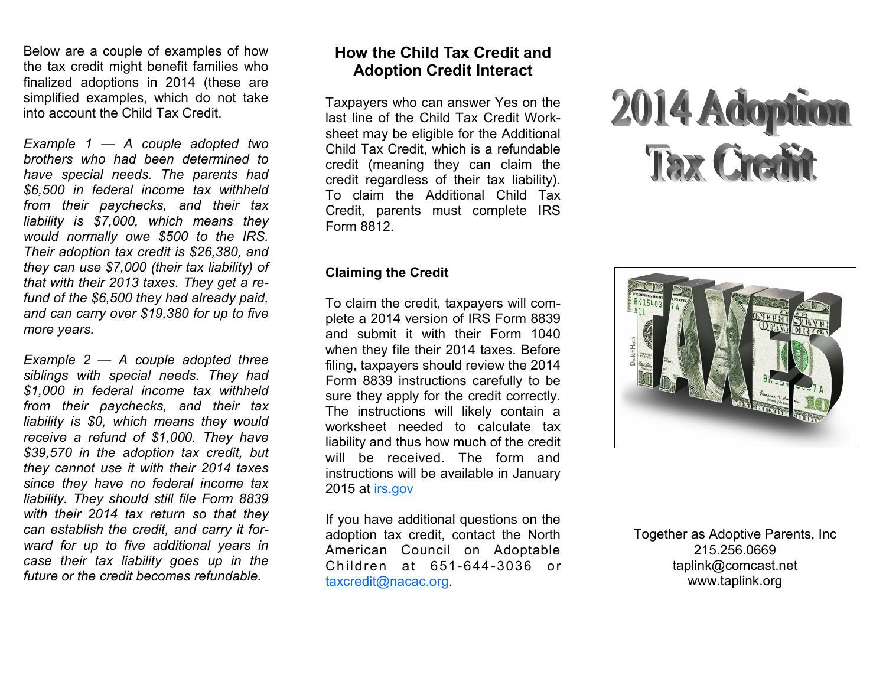Below are a couple of examples of how the tax credit might benefit families who finalized adoptions in 2014 (these are simplified examples, which do not take into account the Child Tax Credit.

*Example 1 — A couple adopted two brothers who had been determined to have special needs. The parents had \$6,500 in federal income tax withheld from their paychecks, and their tax liability is \$7,000, which means they would normally owe \$500 to the IRS. Their adoption tax credit is \$26,380, and they can use \$7,000 (their tax liability) of that with their 2013 taxes. They get a refund of the \$6,500 they had already paid, and can carry over \$19,380 for up to five more years.*

*Example 2 — A couple adopted three siblings with special needs. They had \$1,000 in federal income tax withheld from their paychecks, and their tax liability is \$0, which means they would receive a refund of \$1,000. They have \$39,570 in the adoption tax credit, but they cannot use it with their 2014 taxes since they have no federal income tax liability. They should still file Form 8839 with their 2014 tax return so that they can establish the credit, and carry it forward for up to five additional years in case their tax liability goes up in the future or the credit becomes refundable.*

### **How the Child Tax Credit and Adoption Credit Interact**

Taxpayers who can answer Yes on the last line of the Child Tax Credit Worksheet may be eligible for the Additional Child Tax Credit, which is a refundable credit (meaning they can claim the credit regardless of their tax liability). To claim the Additional Child Tax Credit, parents must complete IRS Form 8812.

#### **Claiming the Credit**

To claim the credit, taxpayers will complete a 2014 version of IRS Form 8839 and submit it with their Form 1040 when they file their 2014 taxes. Before filing, taxpayers should review the 2014 Form 8839 instructions carefully to be sure they apply for the credit correctly. The instructions will likely contain a worksheet needed to calculate tax liability and thus how much of the credit will be received. The form and instructions will be available in January 2015 at [irs.gov](http://www.irs.gov/)

If you have additional questions on the adoption tax credit, contact the North American Council on Adoptable Children at 651-644-3036 or [taxcredit@nacac.org.](mailto:taxcredit@nacac.org)





Together as Adoptive Parents, Inc 215.256.0669 taplink@comcast.net www.taplink.org